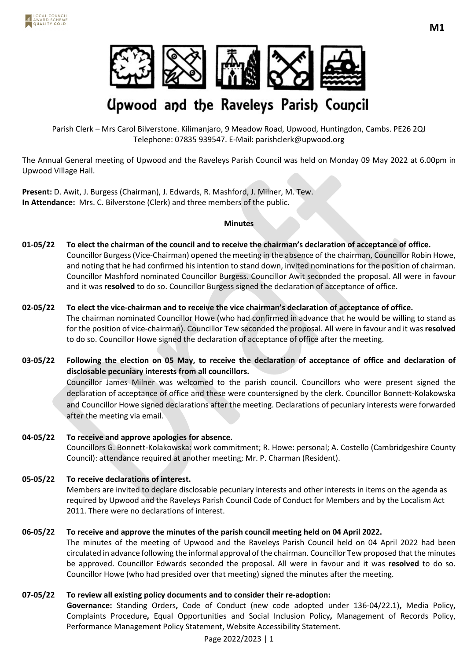

# **Upwood and the Raveleys Parish Council**

Parish Clerk – Mrs Carol Bilverstone. Kilimanjaro, 9 Meadow Road, Upwood, Huntingdon, Cambs. PE26 2QJ Telephone: 07835 939547. E-Mail: parishclerk@upwood.org

The Annual General meeting of Upwood and the Raveleys Parish Council was held on Monday 09 May 2022 at 6.00pm in Upwood Village Hall.

**Present:** D. Awit, J. Burgess (Chairman), J. Edwards, R. Mashford, J. Milner, M. Tew. **In Attendance:** Mrs. C. Bilverstone (Clerk) and three members of the public.

### **Minutes**

- **01-05/22 To elect the chairman of the council and to receive the chairman's declaration of acceptance of office.** Councillor Burgess (Vice-Chairman) opened the meeting in the absence of the chairman, Councillor Robin Howe, and noting that he had confirmed his intention to stand down, invited nominations for the position of chairman. Councillor Mashford nominated Councillor Burgess. Councillor Awit seconded the proposal. All were in favour and it was **resolved** to do so. Councillor Burgess signed the declaration of acceptance of office.
- **02-05/22 To elect the vice-chairman and to receive the vice chairman's declaration of acceptance of office.** The chairman nominated Councillor Howe (who had confirmed in advance that he would be willing to stand as for the position of vice-chairman). Councillor Tew seconded the proposal. All were in favour and it was **resolved** to do so. Councillor Howe signed the declaration of acceptance of office after the meeting.

**03-05/22 Following the election on 05 May, to receive the declaration of acceptance of office and declaration of disclosable pecuniary interests from all councillors.** Councillor James Milner was welcomed to the parish council. Councillors who were present signed the declaration of acceptance of office and these were countersigned by the clerk. Councillor Bonnett-Kolakowska and Councillor Howe signed declarations after the meeting. Declarations of pecuniary interests were forwarded after the meeting via email.

- **04-05/22 To receive and approve apologies for absence.**  Councillors G. Bonnett-Kolakowska: work commitment; R. Howe: personal; A. Costello (Cambridgeshire County Council): attendance required at another meeting; Mr. P. Charman (Resident).
- **05-05/22 To receive declarations of interest.** Members are invited to declare disclosable pecuniary interests and other interests in items on the agenda as required by Upwood and the Raveleys Parish Council Code of Conduct for Members and by the Localism Act 2011. There were no declarations of interest.
- **06-05/22 To receive and approve the minutes of the parish council meeting held on 04 April 2022.** The minutes of the meeting of Upwood and the Raveleys Parish Council held on 04 April 2022 had been circulated in advance following the informal approval of the chairman. Councillor Tew proposed that the minutes be approved. Councillor Edwards seconded the proposal. All were in favour and it was **resolved** to do so. Councillor Howe (who had presided over that meeting) signed the minutes after the meeting.
- **07-05/22 To review all existing policy documents and to consider their re-adoption: Governance:** Standing Orders**,** Code of Conduct (new code adopted under 136-04/22.1)**,** Media Policy**,**  Complaints Procedure**,** Equal Opportunities and Social Inclusion Policy**,** Management of Records Policy, Performance Management Policy Statement, Website Accessibility Statement.

Page 2022/2023 | 1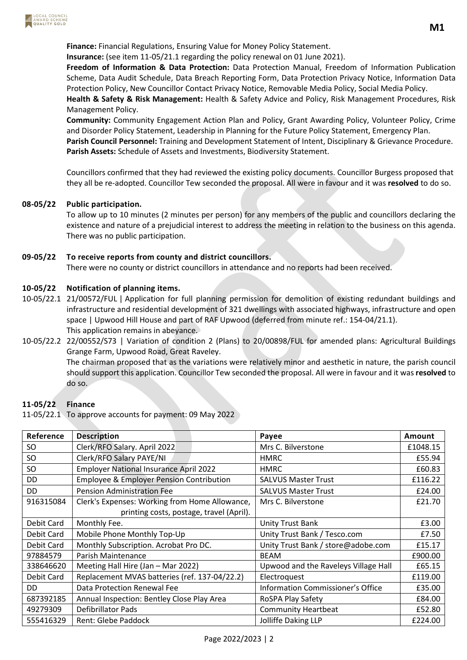

**Insurance:** (see item 11-05/21.1 regarding the policy renewal on 01 June 2021).

**Freedom of Information & Data Protection:** Data Protection Manual, Freedom of Information Publication Scheme, Data Audit Schedule, Data Breach Reporting Form, Data Protection Privacy Notice, Information Data Protection Policy, New Councillor Contact Privacy Notice, Removable Media Policy, Social Media Policy.

**Health & Safety & Risk Management:** Health & Safety Advice and Policy, Risk Management Procedures, Risk Management Policy.

**Community:** Community Engagement Action Plan and Policy, Grant Awarding Policy, Volunteer Policy, Crime and Disorder Policy Statement, Leadership in Planning for the Future Policy Statement, Emergency Plan.

**Parish Council Personnel:** Training and Development Statement of Intent, Disciplinary & Grievance Procedure. **Parish Assets:** Schedule of Assets and Investments, Biodiversity Statement.

Councillors confirmed that they had reviewed the existing policy documents. Councillor Burgess proposed that they all be re-adopted. Councillor Tew seconded the proposal. All were in favour and it was **resolved** to do so.

## **08-05/22 Public participation.**

To allow up to 10 minutes (2 minutes per person) for any members of the public and councillors declaring the existence and nature of a prejudicial interest to address the meeting in relation to the business on this agenda. There was no public participation.

## **09-05/22 To receive reports from county and district councillors.**

There were no county or district councillors in attendance and no reports had been received.

## **10-05/22 Notification of planning items.**

- 10-05/22.1 21/00572/FUL | Application for full planning permission for demolition of existing redundant buildings and infrastructure and residential development of 321 dwellings with associated highways, infrastructure and open space | Upwood Hill House and part of RAF Upwood (deferred from minute ref.: 154-04/21.1). This application remains in abeyance.
- 10-05/22.2 22/00552/S73 | Variation of condition 2 (Plans) to 20/00898/FUL for amended plans: Agricultural Buildings Grange Farm, Upwood Road, Great Raveley. The chairman proposed that as the variations were relatively minor and aesthetic in nature, the parish council should support this application. Councillor Tew seconded the proposal. All were in favour and it was **resolved** to do so.

### **11-05/22 Finance**

11-05/22.1 To approve accounts for payment: 09 May 2022

| Reference  | <b>Description</b>                                  | Payee                                    | Amount   |
|------------|-----------------------------------------------------|------------------------------------------|----------|
| SO.        | Clerk/RFO Salary. April 2022                        | Mrs C. Bilverstone                       | £1048.15 |
| <b>SO</b>  | Clerk/RFO Salary PAYE/NI                            | <b>HMRC</b>                              | £55.94   |
| SO         | <b>Employer National Insurance April 2022</b>       | <b>HMRC</b>                              | £60.83   |
| DD         | <b>Employee &amp; Employer Pension Contribution</b> | <b>SALVUS Master Trust</b>               | £116.22  |
| DD         | <b>Pension Administration Fee</b>                   | <b>SALVUS Master Trust</b>               | £24.00   |
| 916315084  | Clerk's Expenses: Working from Home Allowance,      | Mrs C. Bilverstone                       | £21.70   |
|            | printing costs, postage, travel (April).            |                                          |          |
| Debit Card | Monthly Fee.                                        | <b>Unity Trust Bank</b>                  | £3.00    |
| Debit Card | Mobile Phone Monthly Top-Up                         | Unity Trust Bank / Tesco.com             | £7.50    |
| Debit Card | Monthly Subscription. Acrobat Pro DC.               | Unity Trust Bank / store@adobe.com       | £15.17   |
| 97884579   | Parish Maintenance                                  | <b>BEAM</b>                              | £900.00  |
| 338646620  | Meeting Hall Hire (Jan - Mar 2022)                  | Upwood and the Raveleys Village Hall     | £65.15   |
| Debit Card | Replacement MVAS batteries (ref. 137-04/22.2)       | Electroquest                             | £119.00  |
| DD.        | Data Protection Renewal Fee                         | <b>Information Commissioner's Office</b> | £35.00   |
| 687392185  | Annual Inspection: Bentley Close Play Area          | RoSPA Play Safety                        | £84.00   |
| 49279309   | Defibrillator Pads                                  | <b>Community Heartbeat</b>               | £52.80   |
| 555416329  | Rent: Glebe Paddock                                 | <b>Jolliffe Daking LLP</b>               | £224.00  |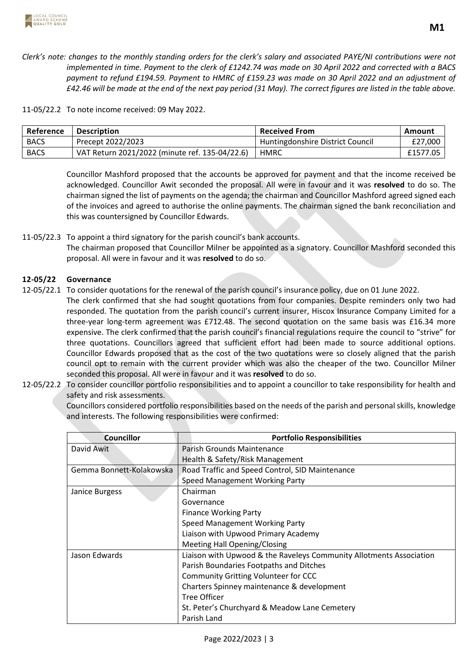

11-05/22.2 To note income received: 09 May 2022.

| Reference   | <b>Description</b>                             | <b>Received From</b>             | Amount     |
|-------------|------------------------------------------------|----------------------------------|------------|
| <b>BACS</b> | Precept 2022/2023                              | Huntingdonshire District Council | £27,000    |
| <b>BACS</b> | VAT Return 2021/2022 (minute ref. 135-04/22.6) | HMRC                             | £1577.05 l |

Councillor Mashford proposed that the accounts be approved for payment and that the income received be acknowledged. Councillor Awit seconded the proposal. All were in favour and it was **resolved** to do so. The chairman signed the list of payments on the agenda; the chairman and Councillor Mashford agreed signed each of the invoices and agreed to authorise the online payments. The chairman signed the bank reconciliation and this was countersigned by Councillor Edwards.

11-05/22.3 To appoint a third signatory for the parish council's bank accounts. The chairman proposed that Councillor Milner be appointed as a signatory. Councillor Mashford seconded this proposal. All were in favour and it was **resolved** to do so.

## **12-05/22 Governance**

- 12-05/22.1 To consider quotations for the renewal of the parish council's insurance policy, due on 01 June 2022.
	- The clerk confirmed that she had sought quotations from four companies. Despite reminders only two had responded. The quotation from the parish council's current insurer, Hiscox Insurance Company Limited for a three-year long-term agreement was £712.48. The second quotation on the same basis was £16.34 more expensive. The clerk confirmed that the parish council's financial regulations require the council to "strive" for three quotations. Councillors agreed that sufficient effort had been made to source additional options. Councillor Edwards proposed that as the cost of the two quotations were so closely aligned that the parish council opt to remain with the current provider which was also the cheaper of the two. Councillor Milner seconded this proposal. All were in favour and it was **resolved** to do so.
- 12-05/22.2 To consider councillor portfolio responsibilities and to appoint a councillor to take responsibility for health and safety and risk assessments.

Councillors considered portfolio responsibilities based on the needs of the parish and personal skills, knowledge and interests. The following responsibilities were confirmed:

| <b>Councillor</b>        | <b>Portfolio Responsibilities</b>                                   |
|--------------------------|---------------------------------------------------------------------|
| David Awit               | Parish Grounds Maintenance                                          |
|                          | Health & Safety/Risk Management                                     |
| Gemma Bonnett-Kolakowska | Road Traffic and Speed Control, SID Maintenance                     |
|                          | Speed Management Working Party                                      |
| Janice Burgess           | Chairman                                                            |
|                          | Governance                                                          |
|                          | <b>Finance Working Party</b>                                        |
|                          | Speed Management Working Party                                      |
|                          | Liaison with Upwood Primary Academy                                 |
|                          | <b>Meeting Hall Opening/Closing</b>                                 |
| Jason Edwards            | Liaison with Upwood & the Raveleys Community Allotments Association |
|                          | Parish Boundaries Footpaths and Ditches                             |
|                          | <b>Community Gritting Volunteer for CCC</b>                         |
|                          | Charters Spinney maintenance & development                          |
|                          | Tree Officer                                                        |
|                          | St. Peter's Churchyard & Meadow Lane Cemetery                       |
|                          | Parish Land                                                         |